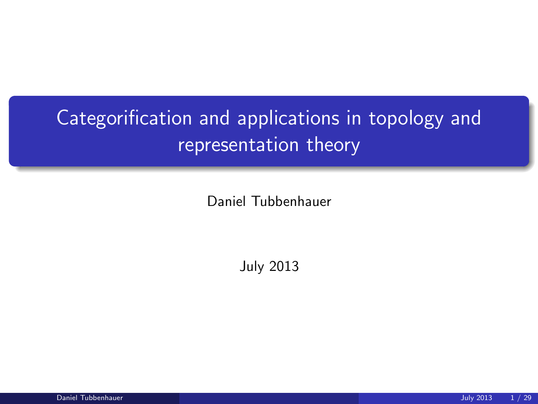# Categorification and applications in topology and representation theory

Daniel Tubbenhauer

July 2013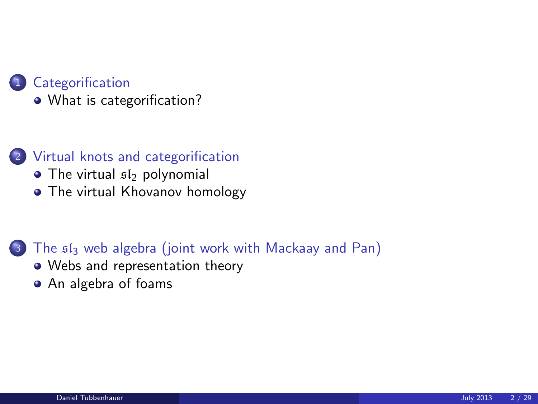

[What is categorification?](#page-2-0)

- 2 [Virtual knots and categorification](#page-4-0)
	- $\bullet$  [The virtual](#page-4-0)  $sI_2$  polynomial
	- [The virtual Khovanov homology](#page-8-0)

#### <sup>3</sup> The sl<sup>3</sup> [web algebra \(joint work with Mackaay and Pan\)](#page-19-0)

- [Webs and representation theory](#page-19-0)
- [An algebra of foams](#page-23-0)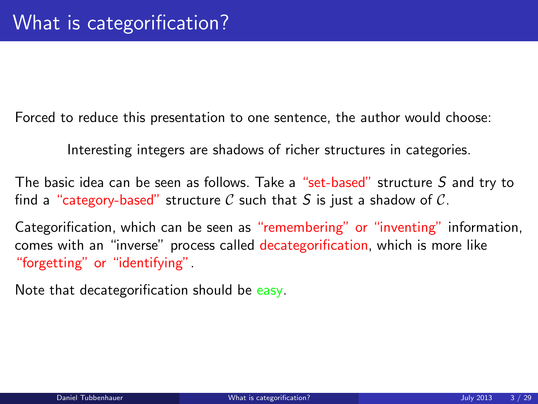Forced to reduce this presentation to one sentence, the author would choose:

Interesting integers are shadows of richer structures in categories.

The basic idea can be seen as follows. Take a "set-based" structure S and try to find a "category-based" structure C such that S is just a shadow of C.

Categorification, which can be seen as "remembering" or "inventing" information, comes with an "inverse" process called decategorification, which is more like "forgetting" or "identifying".

<span id="page-2-0"></span>Note that decategorification should be easy.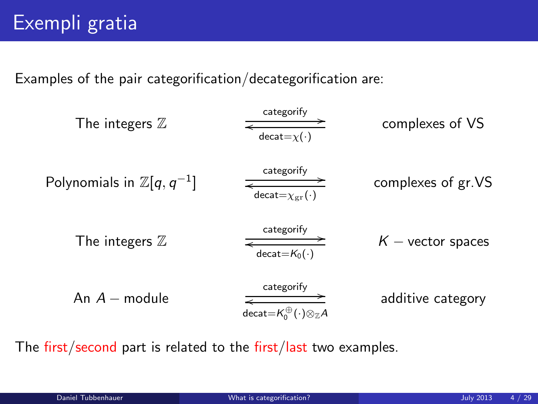Examples of the pair categorification/decategorification are:

The integers 
$$
\mathbb{Z}
$$
  $\xrightarrow{\text{category}} \xrightarrow{\text{category}}$  complexes of VS  
\nPolynomials in  $\mathbb{Z}[q, q^{-1}]$   $\xrightarrow{\text{category}} \xrightarrow{\text{category}}$  complexes of gr.VS  
\nThe integers  $\mathbb{Z}$   $\xrightarrow{\text{category}} \xrightarrow{\text{category}} \xrightarrow{\text{category}}$   $K$  - vector spaces  
\nAn  $A$  - module  $\xrightarrow{\text{category}} \xrightarrow{\text{category}}$  additive category

The first/second part is related to the first/last two examples.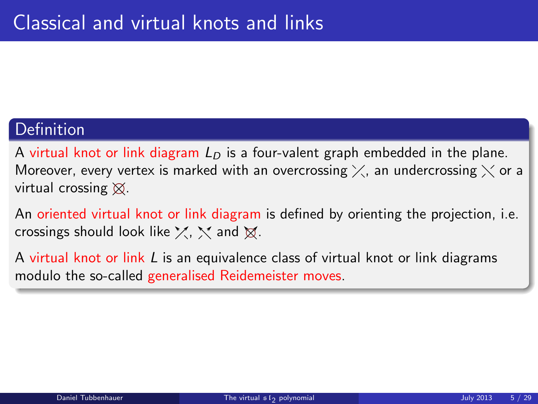#### **Definition**

A virtual knot or link diagram  $L<sub>D</sub>$  is a four-valent graph embedded in the plane. Moreover, every vertex is marked with an overcrossing  $\times$ , an undercrossing  $\times$  or a virtual crossing  $\otimes$ .

An oriented virtual knot or link diagram is defined by orienting the projection, i.e. crossings should look like  $\chi$ ,  $\chi$  and  $\chi$ .

<span id="page-4-0"></span>A virtual knot or link  $L$  is an equivalence class of virtual knot or link diagrams modulo the so-called generalised Reidemeister moves.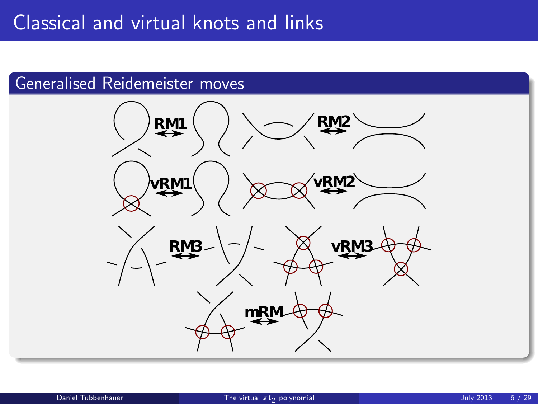#### Generalised Reidemeister moves

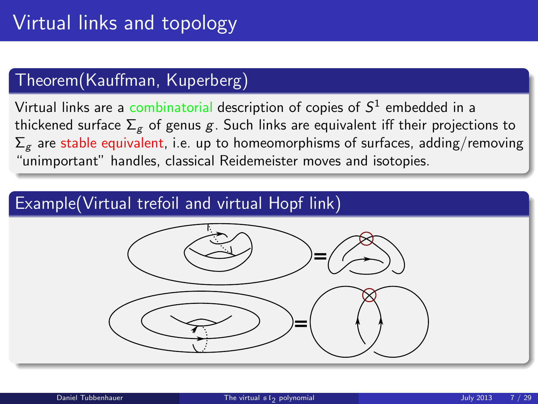#### Theorem(Kauffman, Kuperberg)

Virtual links are a combinatorial description of copies of  $\mathcal{S}^1$  embedded in a thickened surface  $\Sigma_g$  of genus g. Such links are equivalent iff their projections to  $\Sigma_g$  are stable equivalent, i.e. up to homeomorphisms of surfaces, adding/removing "unimportant" handles, classical Reidemeister moves and isotopies.

#### Example(Virtual trefoil and virtual Hopf link)

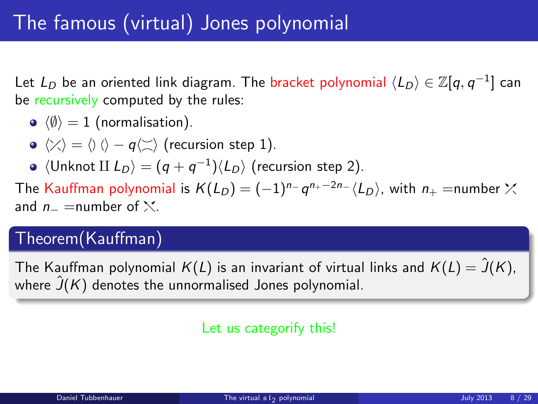Let  $L_D$  be an oriented link diagram. The bracket polynomial  $\langle L_D\rangle\in \mathbb{Z}[q, q^{-1}]$  can be recursively computed by the rules:

- $\lozenge$   $\langle \emptyset \rangle = 1$  (normalisation).
- $\langle \rangle \langle \rangle = \langle \rangle$  ( $\rangle q \langle \rangle$  (recursion step 1).
- $\langle$ Unknot II  $L_D \rangle = (q + q^{-1}) \langle L_D \rangle$  (recursion step 2).

The Kauffman polynomial is  $K(L_D)=(-1)^{n_-}\,q^{n_+-2n_-}\langle L_D\rangle$ , with  $n_+=$ number and  $n_-\equiv$ number of  $\mathcal{N}$ .

#### Theorem(Kauffman)

The Kauffman polynomial  $K(L)$  is an invariant of virtual links and  $K(L) = \hat{J}(K)$ , where  $\hat{J}(K)$  denotes the unnormalised Jones polynomial.

#### Let us categorify this!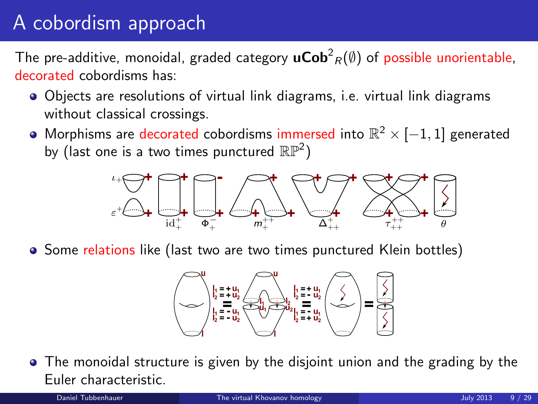# A cobordism approach

The pre-additive, monoidal, graded category  $\mathsf{uCob}^2_R(\emptyset)$  of possible unorientable, decorated cobordisms has:

- Objects are resolutions of virtual link diagrams, i.e. virtual link diagrams without classical crossings.
- Morphisms are decorated cobordisms immersed into  $\mathbb{R}^2 \times [-1,1]$  generated by (last one is a two times punctured  $\mathbb{RP}^2)$



• Some relations like (last two are two times punctured Klein bottles)

<span id="page-8-0"></span>

• The monoidal structure is given by the disjoint union and the grading by the Euler characteristic.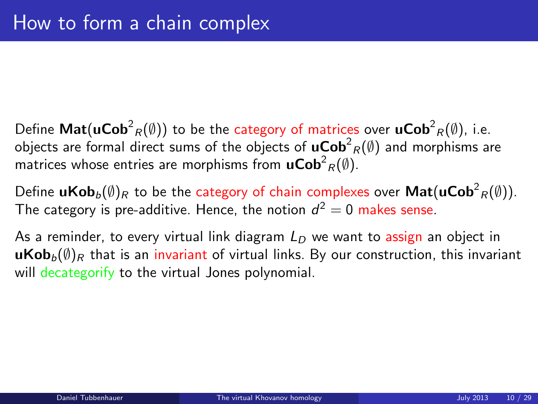- Define  $\mathsf{Mat}(\mathsf{uCob}^2_R(\emptyset))$  to be the category of matrices over  $\mathsf{uCob}^2_R(\emptyset)$ , i.e. objects are formal direct sums of the objects of  $\mathsf{uCob}^2_R(\emptyset)$  and morphisms are matrices whose entries are morphisms from  $\mathbf{uCob}^2_R(\emptyset).$
- Define  $\mathsf{uKob}_b(\emptyset)_R$  to be the category of chain complexes over  $\mathsf{Mat}(\mathsf{uCob}^2_R(\emptyset)).$ The category is pre-additive. Hence, the notion  $d^2 = 0$  makes sense.

As a reminder, to every virtual link diagram  $L<sub>D</sub>$  we want to assign an object in **uKob**<sub>b</sub> $(\emptyset)$ <sub>R</sub> that is an invariant of virtual links. By our construction, this invariant will decategorify to the virtual Jones polynomial.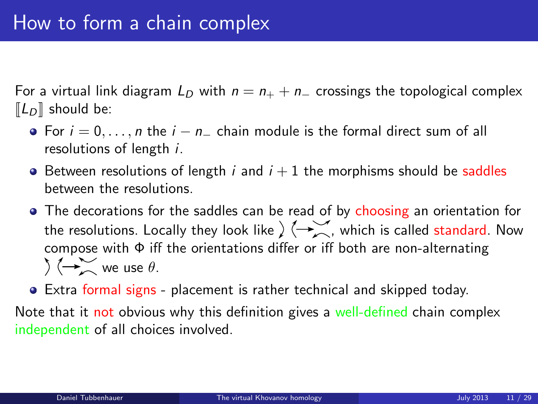For a virtual link diagram  $L_D$  with  $n = n_+ + n_-$  crossings the topological complex  $\llbracket L_D \rrbracket$  should be:

- For  $i = 0, \ldots, n$  the  $i n_+$  chain module is the formal direct sum of all resolutions of length i.
- $\bullet$  Between resolutions of length i and  $i + 1$  the morphisms should be saddles between the resolutions.
- The decorations for the saddles can be read of by choosing an orientation for the resolutions. Locally they look like  $\sum_{n=1}^{\infty}$ , which is called standard. Now compose with Φ iff the orientations differ or iff both are non-alternating  $\bigwedge$   $\overleftarrow{ }$  we use  $\theta$ .
- Extra formal signs placement is rather technical and skipped today.

Note that it not obvious why this definition gives a well-defined chain complex independent of all choices involved.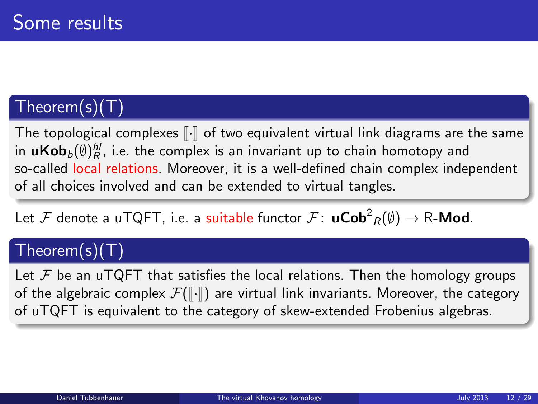### Theorem(s)(T)

The topological complexes  $\lceil \cdot \rceil$  of two equivalent virtual link diagrams are the same in  $\mathbf{uKob}_{b}(\emptyset)^{hl}_{R}$ , i.e. the complex is an invariant up to chain homotopy and so-called local relations. Moreover, it is a well-defined chain complex independent of all choices involved and can be extended to virtual tangles.

Let  ${\cal F}$  denote a uTQFT, i.e. a suitable functor  ${\cal F}\colon$   $\mathsf{uCob}^2_R(\emptyset) \to \mathsf{R}\text{-}\mathsf{Mod}.$ 

### Theorem(s)(T)

Let  $\mathcal F$  be an uTQFT that satisfies the local relations. Then the homology groups of the algebraic complex  $\mathcal{F}(\lceil \cdot \rceil)$  are virtual link invariants. Moreover, the category of uTQFT is equivalent to the category of skew-extended Frobenius algebras.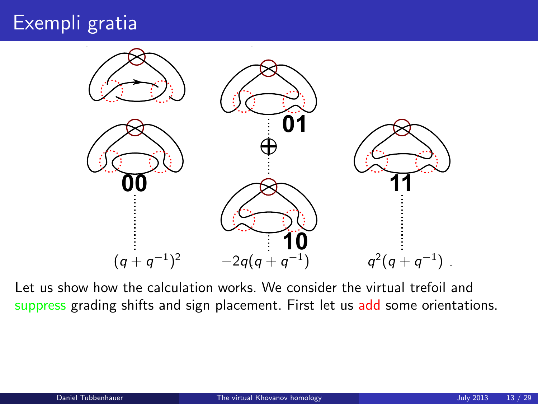

Let us show how the calculation works. We consider the virtual trefoil and suppress grading shifts and sign placement. First let us add some orientations.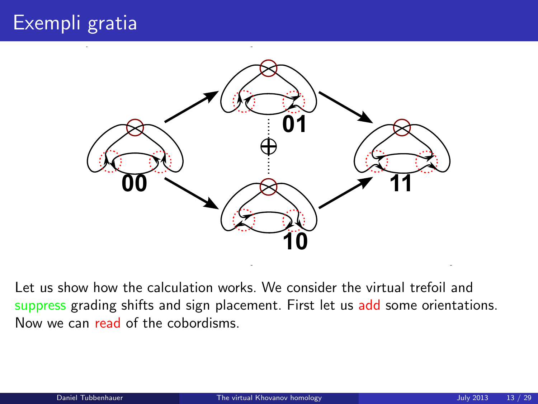

Let us show how the calculation works. We consider the virtual trefoil and suppress grading shifts and sign placement. First let us add some orientations. Now we can read of the cobordisms.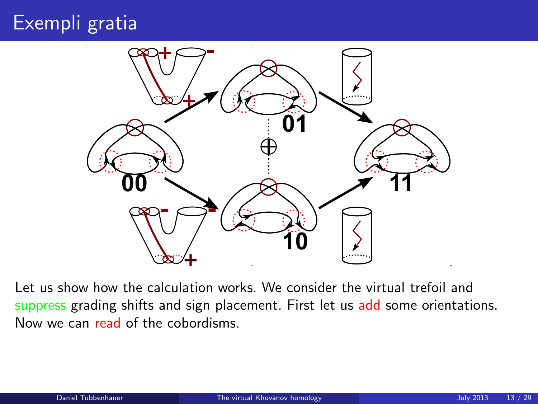

Let us show how the calculation works. We consider the virtual trefoil and suppress grading shifts and sign placement. First let us add some orientations. Now we can read of the cobordisms.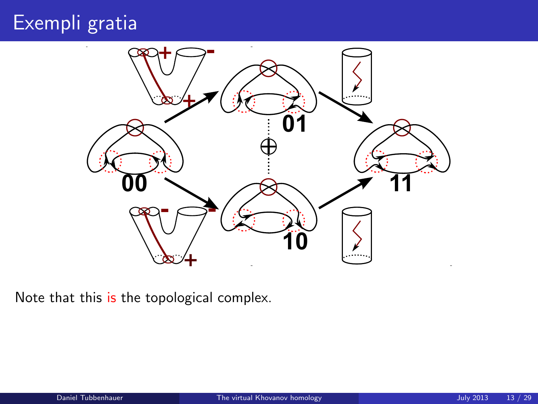

Note that this is the topological complex.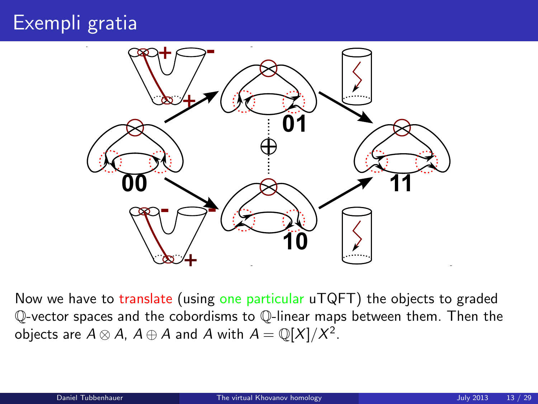

Now we have to translate (using one particular uTQFT) the objects to graded Q-vector spaces and the cobordisms to Q-linear maps between them. Then the objects are  $A \otimes A$ ,  $A \oplus A$  and  $A$  with  $A = \mathbb{Q}[X]/X^2$ .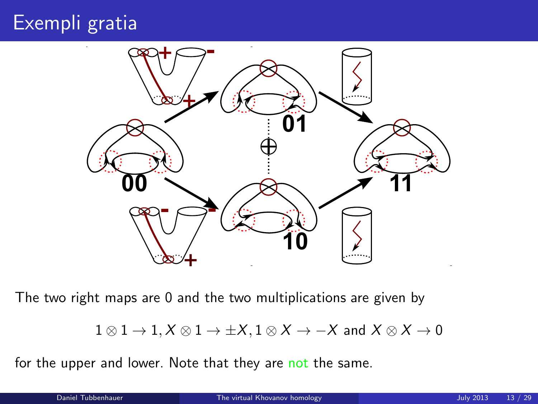

The two right maps are 0 and the two multiplications are given by

```
1 \otimes 1 \rightarrow 1, X \otimes 1 \rightarrow \pm X, 1 \otimes X \rightarrow -X and X \otimes X \rightarrow 0
```
for the upper and lower. Note that they are not the same.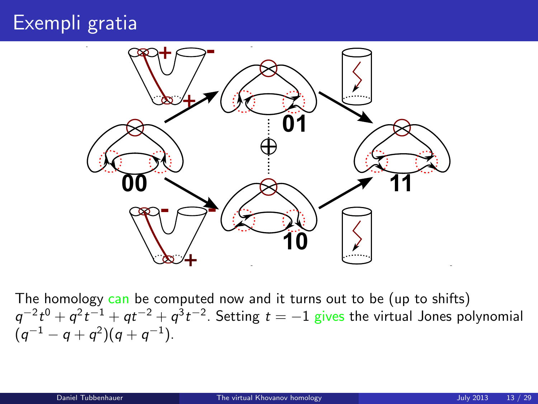

The homology can be computed now and it turns out to be (up to shifts)  $q^{-2}t^0 + q^2t^{-1} + qt^{-2} + q^3t^{-2}$ . Setting  $t = -1$  gives the virtual Jones polynomial  $(q^{-1} - q + q^2)(q + q^{-1}).$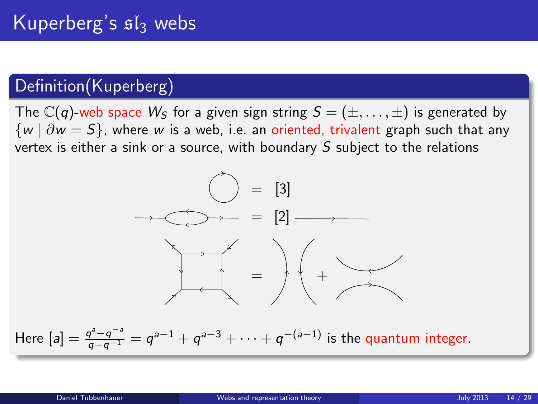### Definition(Kuperberg)

The  $\mathbb{C}(q)$ -web space  $W_S$  for a given sign string  $S = (\pm, \dots, \pm)$  is generated by  $\{w \mid \partial w = S\}$ , where w is a web, i.e. an oriented, trivalent graph such that any vertex is either a sink or a source, with boundary S subject to the relations

<span id="page-19-0"></span>

Here 
$$
[a] = \frac{q^a - q^{-a}}{q - q^{-1}} = q^{a-1} + q^{a-3} + \cdots + q^{-(a-1)}
$$
 is the quantum integer.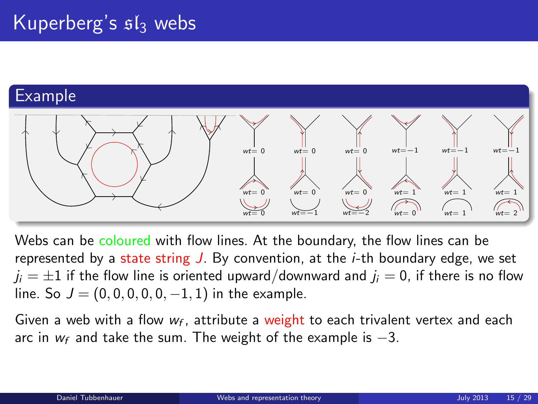#### Example



Webs can be coloured with flow lines. At the boundary, the flow lines can be represented by a state string  $J$ . By convention, at the *i*-th boundary edge, we set  $j_i = \pm 1$  if the flow line is oriented upward/downward and  $j_i = 0$ , if there is no flow line. So  $J = (0, 0, 0, 0, 0, -1, 1)$  in the example.

Given a web with a flow  $w_f$ , attribute a weight to each trivalent vertex and each arc in  $w_f$  and take the sum. The weight of the example is  $-3$ .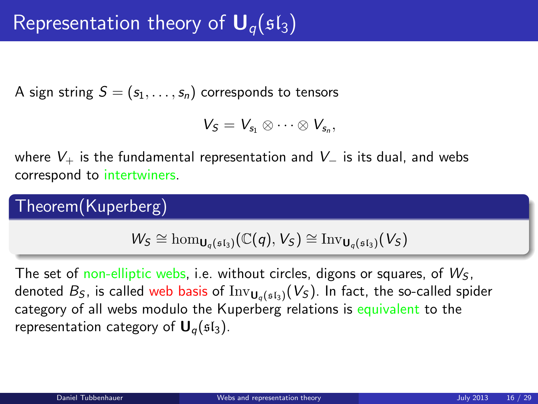A sign string  $S = (s_1, \ldots, s_n)$  corresponds to tensors

$$
V_S=V_{s_1}\otimes\cdots\otimes V_{s_n},
$$

where  $V_+$  is the fundamental representation and  $V_-$  is its dual, and webs correspond to intertwiners.

Theorem(Kuperberg)

$$
W_S \cong \hom_{\mathsf{U}_q(\mathfrak{sl}_3)}(\mathbb{C}(q),V_S) \cong \mathrm{Inv}_{\mathsf{U}_q(\mathfrak{sl}_3)}(V_S)
$$

The set of non-elliptic webs, i.e. without circles, digons or squares, of  $W<sub>S</sub>$ , denoted  $B_S$ , is called web basis of  $Inv_{U_{\alpha}(s_{\alpha})}(V_S)$ . In fact, the so-called spider category of all webs modulo the Kuperberg relations is equivalent to the representation category of  $U_q(sI_3)$ .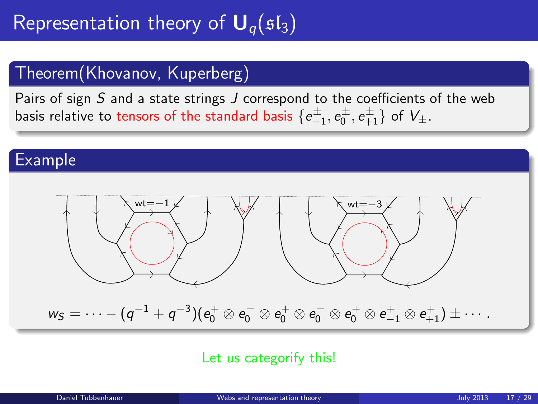### Theorem(Khovanov, Kuperberg)

Pairs of sign S and a state strings J correspond to the coefficients of the web basis relative to tensors of the standard basis  $\{e_{-1}^\pm,e_0^\pm,e_{+1}^\pm\}$  of  $V_\pm$ .

#### Example



#### Let us categorify this!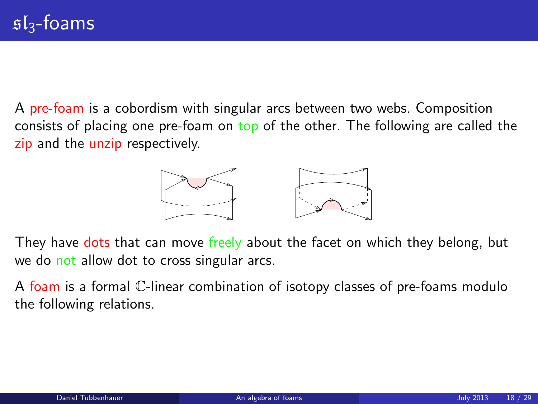A pre-foam is a cobordism with singular arcs between two webs. Composition consists of placing one pre-foam on top of the other. The following are called the zip and the unzip respectively.

<span id="page-23-0"></span>

They have dots that can move freely about the facet on which they belong, but we do not allow dot to cross singular arcs.

A foam is a formal C-linear combination of isotopy classes of pre-foams modulo the following relations.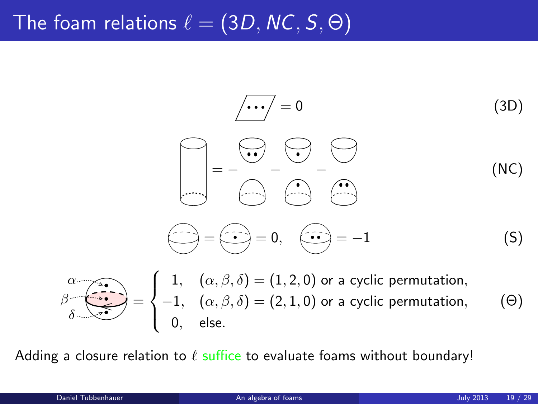# The foam relations  $\ell = (3D, NC, S, \Theta)$

$$
\begin{array}{ccc}\n\hline\n\end{array}\n\left(\begin{array}{c}\n\hline\n\end{array}\right) = 0\n\end{array}
$$
\n(3D)\n
$$
\begin{array}{ccc}\n\hline\n\end{array}\n\left(\begin{array}{c}\n\hline\n\end{array}\right) = -\begin{array}{ccc}\n\hline\n\end{array}\n\left(\begin{array}{c}\n\hline\n\end{array}\right) = 0, \quad \begin{array}{c}\n\hline\n\end{array}\n\left(\begin{array}{c}\n\hline\n\end{array}\right) = -1\n\end{array}
$$
\n(5)

$$
\beta \overbrace{\delta \rightarrow 0}^{\alpha} = \begin{cases} 1, & (\alpha, \beta, \delta) = (1, 2, 0) \text{ or a cyclic permutation,} \\ -1, & (\alpha, \beta, \delta) = (2, 1, 0) \text{ or a cyclic permutation,} \\ 0, & \text{else.} \end{cases} \tag{0}
$$

Adding a closure relation to  $\ell$  suffice to evaluate foams without boundary!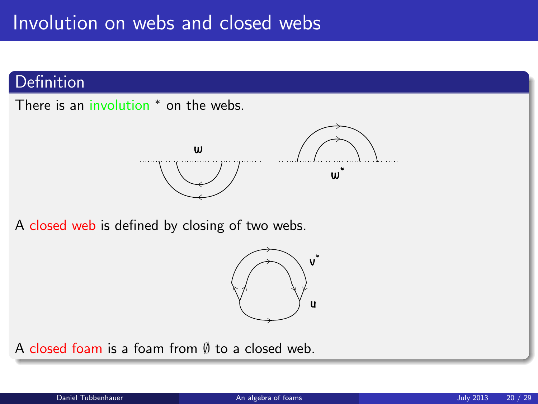#### Definition

There is an involution <sup>\*</sup> on the webs.



A closed web is defined by closing of two webs.



A closed foam is a foam from ∅ to a closed web.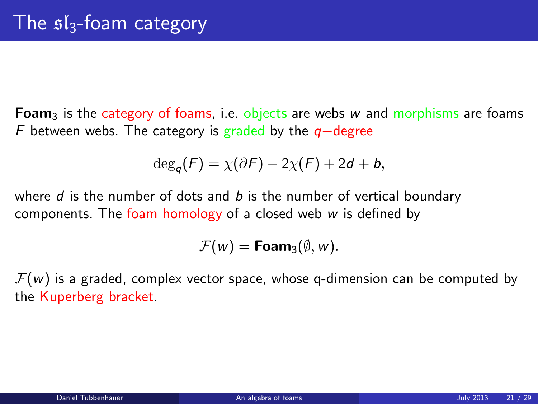**Foam**<sub>3</sub> is the category of foams, i.e. objects are webs w and morphisms are foams F between webs. The category is graded by the  $q$ -degree

$$
\deg_q(F) = \chi(\partial F) - 2\chi(F) + 2d + b,
$$

where  $d$  is the number of dots and  $b$  is the number of vertical boundary components. The foam homology of a closed web  $w$  is defined by

$$
\mathcal{F}(w) = \text{Foam}_3(\emptyset, w).
$$

 $\mathcal{F}(w)$  is a graded, complex vector space, whose q-dimension can be computed by the Kuperberg bracket.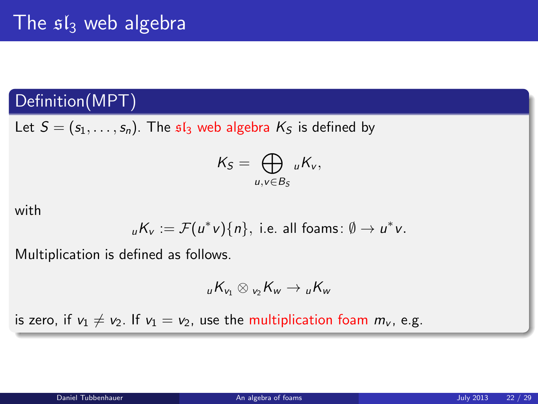#### Definition(MPT)

Let  $S = (s_1, \ldots, s_n)$ . The  $sI_3$  web algebra  $K_S$  is defined by

$$
K_S=\bigoplus_{u,v\in B_S} {}_uK_v,
$$

with

$$
{}_{u}K_{v}:=\mathcal{F}(u^{*}v)\{n\},
$$
 i.e. all foams:  $\emptyset \to u^{*}v$ .

Multiplication is defined as follows.

$$
{}_{u}K_{v_1}\otimes{}_{v_2}K_{w}\to {}_{u}K_{w}
$$

is zero, if  $v_1 \neq v_2$ . If  $v_1 = v_2$ , use the multiplication foam  $m_v$ , e.g.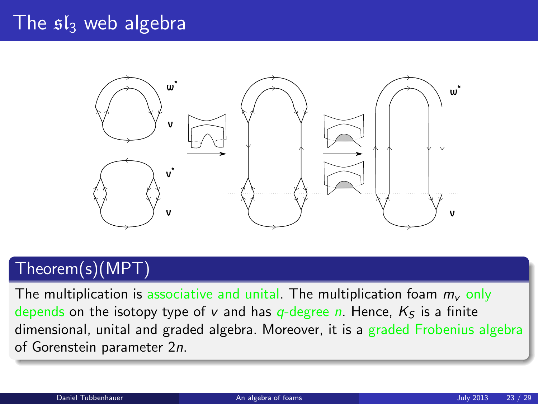### The  $sI_3$  web algebra



### Theorem(s)(MPT)

The multiplication is associative and unital. The multiplication foam  $m_{\nu}$  only depends on the isotopy type of v and has  $q$ -degree n. Hence,  $K<sub>S</sub>$  is a finite dimensional, unital and graded algebra. Moreover, it is a graded Frobenius algebra of Gorenstein parameter 2n.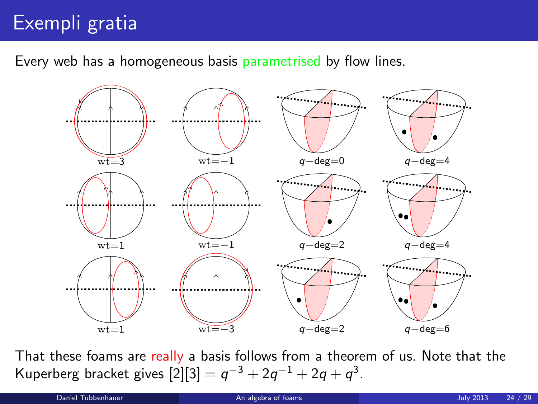Every web has a homogeneous basis parametrised by flow lines.



That these foams are really a basis follows from a theorem of us. Note that the Kuperberg bracket gives  $[2][3] = q^{-3} + 2q^{-1} + 2q + q^{3}$ .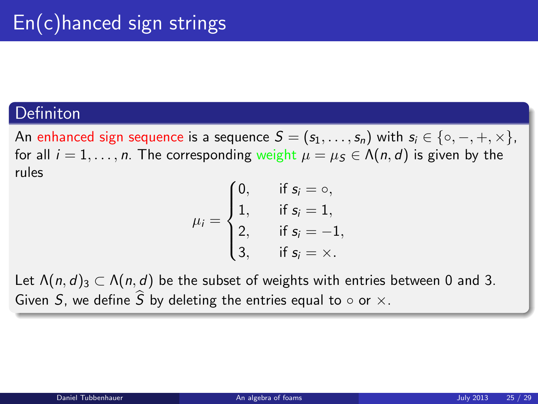#### **Definiton**

An enhanced sign sequence is a sequence  $S = (s_1, \ldots, s_n)$  with  $s_i \in \{ \circ, -, +, \times \},$ for all  $i = 1, \ldots, n$ . The corresponding weight  $\mu = \mu_s \in \Lambda(n, d)$  is given by the rules

$$
\mu_i = \begin{cases} 0, & \text{if } s_i = \circ, \\ 1, & \text{if } s_i = 1, \\ 2, & \text{if } s_i = -1, \\ 3, & \text{if } s_i = \times. \end{cases}
$$

Let  $\Lambda(n, d)_3 \subset \Lambda(n, d)$  be the subset of weights with entries between 0 and 3. Given S, we define  $\widehat{S}$  by deleting the entries equal to  $\circ$  or  $\times$ .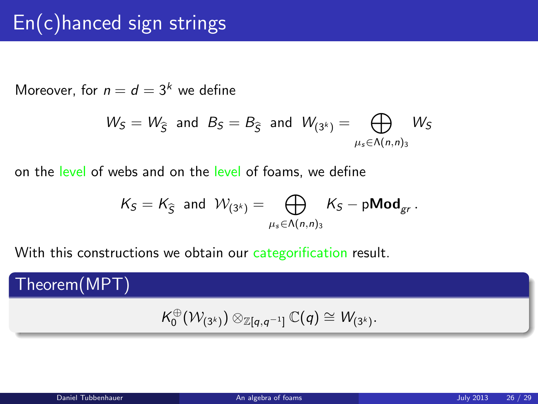# En(c)hanced sign strings

Moreover, for  $n = d = 3<sup>k</sup>$  we define

$$
W_S = W_{\widehat{S}} \text{ and } B_S = B_{\widehat{S}} \text{ and } W_{(3^k)} = \bigoplus_{\mu_s \in \Lambda(n,n)_3} W_S
$$

on the level of webs and on the level of foams, we define

$$
\mathcal{K}_\mathcal{S} = \mathcal{K}_{\widehat{\mathcal{S}}} \ \ \text{and} \ \ \mathcal{W}_{(3^k)} = \bigoplus_{\mu_s \in \Lambda(n,n)_3} \mathcal{K}_\mathcal{S} - p\text{Mod}_{gr} \, .
$$

With this constructions we obtain our categorification result.

Theorem(MPT)

$$
\mathcal{K}_0^{\oplus}(\mathcal{W}_{(3^k)}) \otimes_{\mathbb{Z}[q,q^{-1}]} \mathbb{C}(q) \cong \mathcal{W}_{(3^k)}.
$$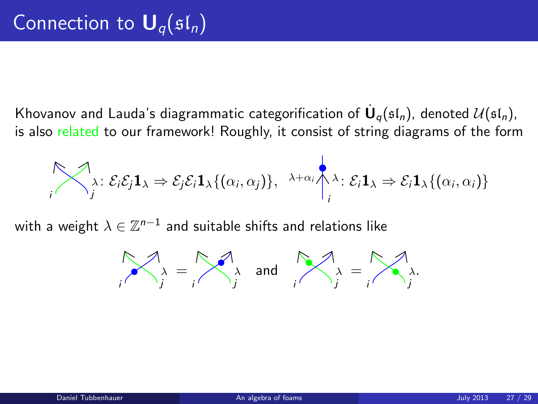Khovanov and Lauda's diagrammatic categorification of  $\dot{\mathsf{U}}_q(\mathfrak{sl}_n)$ , denoted  $\mathcal{U}(\mathfrak{sl}_n)$ , is also related to our framework! Roughly, it consist of string diagrams of the form

$$
\bigotimes_i \lambda : \mathcal{E}_i \mathcal{E}_j \mathbf{1}_{\lambda} \Rightarrow \mathcal{E}_j \mathcal{E}_i \mathbf{1}_{\lambda} \{(\alpha_i, \alpha_j)\}, \lambda + \alpha_i \bigwedge_i \lambda : \mathcal{E}_i \mathbf{1}_{\lambda} \Rightarrow \mathcal{E}_i \mathbf{1}_{\lambda} \{(\alpha_i, \alpha_i)\}
$$

with a weight  $\lambda\in\mathbb{Z}^{n-1}$  and suitable shifts and relations like

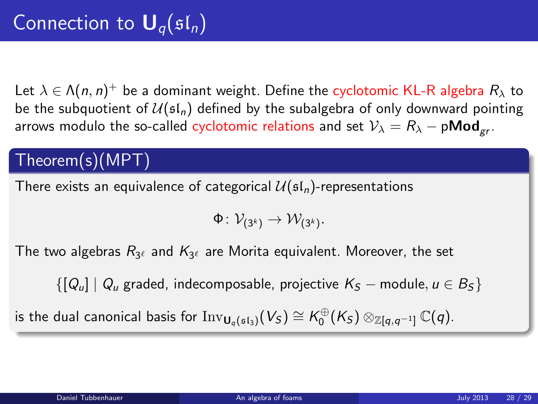Let  $\lambda \in \Lambda(n,n)^+$  be a dominant weight. Define the cyclotomic KL-R algebra  $R_\lambda$  to be the subquotient of  $U(\mathfrak{sl}_n)$  defined by the subalgebra of only downward pointing arrows modulo the so-called cyclotomic relations and set  $V_{\lambda} = R_{\lambda} - \rho \text{Mod}_{gr}$ .

### Theorem(s)(MPT)

There exists an equivalence of categorical  $\mathcal{U}(\mathfrak{sl}_n)$ -representations

$$
\Phi\colon \mathcal{V}_{(3^k)} \to \mathcal{W}_{(3^k)}.
$$

The two algebras  $R_{3^\ell}$  and  $K_{3^\ell}$  are Morita equivalent. Moreover, the set

 $\{[Q_\mu] \mid Q_\mu\}$  graded, indecomposable, projective  $K_S$  – module,  $u \in B_S$ 

is the dual canonical basis for  ${\rm Inv}_{\mathsf{U}_q(\mathfrak{sl}_3)}(V_S) \cong \mathsf{K}_0^{\oplus}(\mathsf{K}_S) \otimes_{\mathbb{Z}[q,q^{-1}]} \mathbb{C}(q).$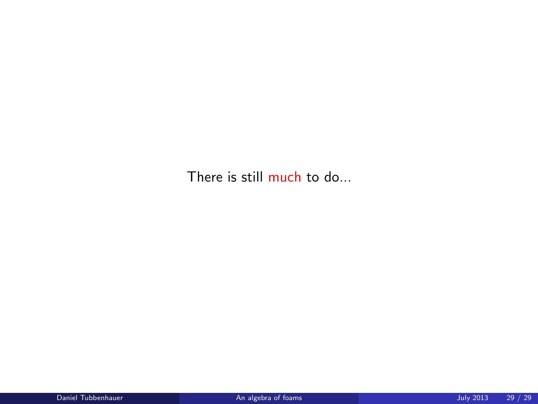There is still much to do...